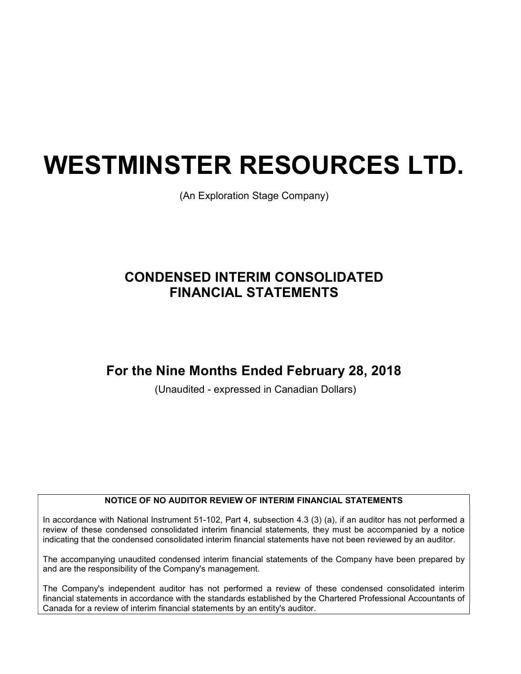# WESTMINSTER RESOURCES LTD.

(An Exploration Stage Company)

# CONDENSED INTERIM CONSOLIDATED FINANCIAL STATEMENTS

# For the Nine Months Ended February 28, 2018

(Unaudited - expressed in Canadian Dollars)

### NOTICE OF NO AUDITOR REVIEW OF INTERIM FINANCIAL STATEMENTS

In accordance with National Instrument 51-102, Part 4, subsection 4.3 (3) (a), if an auditor has not performed a review of these condensed consolidated interim financial statements, they must be accompanied by a notice indicating that the condensed consolidated interim financial statements have not been reviewed by an auditor.

The accompanying unaudited condensed interim financial statements of the Company have been prepared by and are the responsibility of the Company's management.

The Company's independent auditor has not performed a review of these condensed consolidated interim financial statements in accordance with the standards established by the Chartered Professional Accountants of Canada for a review of interim financial statements by an entity's auditor.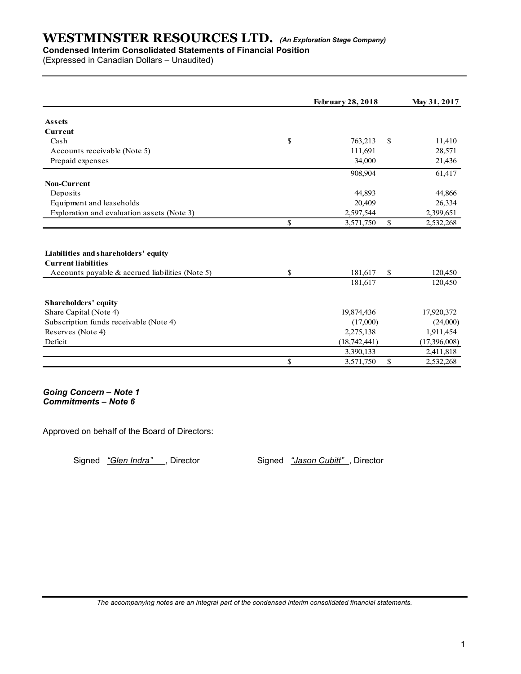## Condensed Interim Consolidated Statements of Financial Position

| <b>WESTMINSTER RESOURCES LTD.</b> (An Exploration Stage Company)<br><b>Condensed Interim Consolidated Statements of Financial Position</b><br>(Expressed in Canadian Dollars - Unaudited) |              |                             |              |                           |
|-------------------------------------------------------------------------------------------------------------------------------------------------------------------------------------------|--------------|-----------------------------|--------------|---------------------------|
|                                                                                                                                                                                           |              |                             |              |                           |
|                                                                                                                                                                                           |              |                             |              |                           |
|                                                                                                                                                                                           |              |                             |              |                           |
|                                                                                                                                                                                           |              |                             |              |                           |
|                                                                                                                                                                                           |              |                             |              |                           |
|                                                                                                                                                                                           |              | <b>February 28, 2018</b>    |              | May 31, 2017              |
| Assets                                                                                                                                                                                    |              |                             |              |                           |
| Current                                                                                                                                                                                   |              |                             |              |                           |
| Cash                                                                                                                                                                                      | \$           | 763,213 \$                  |              | 11,410                    |
| Accounts receivable (Note 5)                                                                                                                                                              |              | 111,691                     |              | 28,571                    |
| Prepaid expenses                                                                                                                                                                          |              | 34,000                      |              | 21,436                    |
|                                                                                                                                                                                           |              | 908,904                     |              | 61,417                    |
| Non-Current                                                                                                                                                                               |              |                             |              |                           |
| Deposits                                                                                                                                                                                  |              | 44,893                      |              | 44,866                    |
| Equipment and leaseholds                                                                                                                                                                  |              | 20,409                      |              | 26,334                    |
| Exploration and evaluation assets (Note 3)                                                                                                                                                |              | 2,597,544                   |              | 2,399,651                 |
|                                                                                                                                                                                           | \$           | 3,571,750                   | $\mathbf S$  | 2,532,268                 |
|                                                                                                                                                                                           |              |                             |              |                           |
| Liabilities and shareholders' equity                                                                                                                                                      |              |                             |              |                           |
| <b>Current liabilities</b><br>Accounts payable & accrued liabilities (Note 5)                                                                                                             | \$           | 181,617 \$                  |              | 120,450                   |
|                                                                                                                                                                                           |              | 181,617                     |              | 120,450                   |
|                                                                                                                                                                                           |              |                             |              |                           |
| Shareholders' equity                                                                                                                                                                      |              |                             |              |                           |
| Share Capital (Note 4)<br>Subscription funds receivable (Note 4)                                                                                                                          |              | 19,874,436                  |              | 17,920,372<br>(24,000)    |
| Reserves (Note 4)                                                                                                                                                                         |              | (17,000)                    |              |                           |
| Deficit                                                                                                                                                                                   |              | 2,275,138                   |              | 1,911,454                 |
|                                                                                                                                                                                           |              | (18, 742, 441)<br>3,390,133 |              | (17,396,008)<br>2,411,818 |
|                                                                                                                                                                                           | $\mathbb{S}$ |                             |              | 2,532,268                 |
|                                                                                                                                                                                           |              | 3,571,750                   | $\mathbb{S}$ |                           |

Approved on behalf of the Board of Directors:

Signed "Glen Indra", Director Signed "Jason Cubitt", Director

The accompanying notes are an integral part of the condensed interim consolidated financial statements.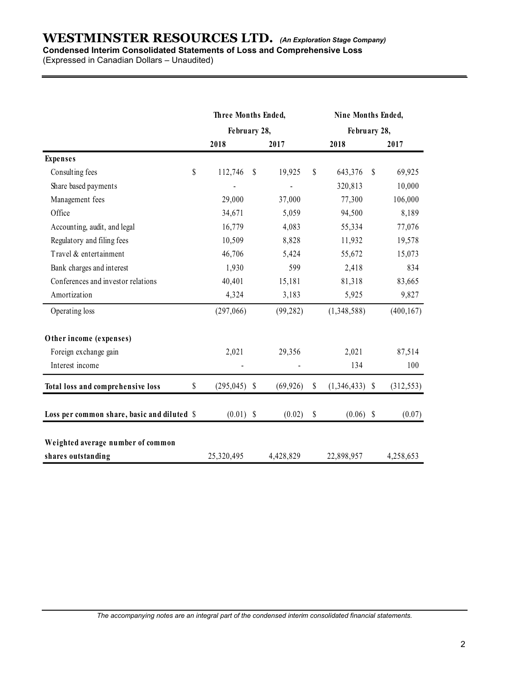## WESTMINSTER RESOURCES LTD. (An Exploration Stage Company) Condensed Interim Consolidated Statements of Loss and Comprehensive Loss

| <b>WESTMINSTER RESOURCES LTD.</b> (An Exploration Stage Company)<br>Condensed Interim Consolidated Statements of Loss and Comprehensive Loss<br>(Expressed in Canadian Dollars - Unaudited) |                          |    |             |      |                    |            |
|---------------------------------------------------------------------------------------------------------------------------------------------------------------------------------------------|--------------------------|----|-------------|------|--------------------|------------|
|                                                                                                                                                                                             | Three Months Ended,      |    |             |      | Nine Months Ended, |            |
|                                                                                                                                                                                             | February 28,             |    |             |      | February 28,       |            |
|                                                                                                                                                                                             | 2018                     |    | 2017        |      | 2018               | 2017       |
| <b>Expenses</b>                                                                                                                                                                             |                          |    |             |      |                    |            |
| Consulting fees                                                                                                                                                                             | \$<br>112,746            | -S | 19,925      | \$   | 643,376 \$         | 69,925     |
| Share based payments                                                                                                                                                                        |                          |    |             |      | 320,813            | 10,000     |
| Management fees                                                                                                                                                                             | 29,000                   |    | 37,000      |      | 77,300             | 106,000    |
| Office                                                                                                                                                                                      | 34,671                   |    | 5,059       |      | 94,500             | 8,189      |
| Accounting, audit, and legal                                                                                                                                                                | 16,779                   |    | 4,083       |      | 55,334             | 77,076     |
| Regulatory and filing fees                                                                                                                                                                  | 10,509                   |    | 8,828       |      | 11,932             | 19,578     |
| Travel & entertainment                                                                                                                                                                      | 46,706                   |    | 5,424       |      | 55,672             | 15,073     |
| Bank charges and interest                                                                                                                                                                   | 1,930                    |    | 599         |      | 2,418              | 834        |
| Conferences and investor relations                                                                                                                                                          | 40,401                   |    | 15,181      |      | 81,318             | 83,665     |
| Amortization                                                                                                                                                                                | 4,324                    |    | 3,183       |      | 5,925              | 9,827      |
| Operating loss                                                                                                                                                                              | (297,066)                |    | (99, 282)   |      | (1,348,588)        | (400, 167) |
| Other income (expenses)                                                                                                                                                                     |                          |    |             |      |                    |            |
| Foreign exchange gain                                                                                                                                                                       | 2,021                    |    | 29,356      |      | 2,021              | 87,514     |
| Interest income                                                                                                                                                                             | $\overline{\phantom{a}}$ |    |             |      | 134                | $100\,$    |
| Total loss and comprehensive loss                                                                                                                                                           | \$<br>$(295,045)$ \$     |    | (69, 926)   | - \$ | $(1,346,433)$ \$   | (312, 553) |
| Loss per common share, basic and diluted \$                                                                                                                                                 | $(0.01)$ \$              |    | $(0.02)$ \$ |      | $(0.06)$ \$        | (0.07)     |
| Weighted average number of common                                                                                                                                                           |                          |    |             |      |                    |            |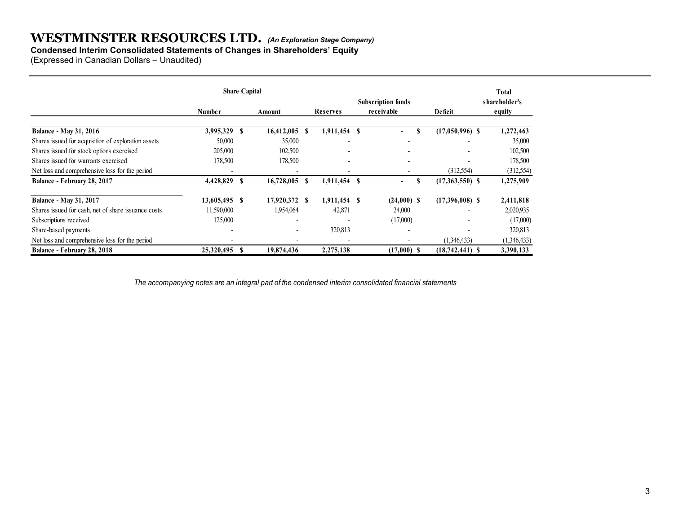## Condensed Interim Consolidated Statements of Changes in Shareholders' Equity

|                                                                                      | (Expressed in Canadian Dollars - Unaudited) |                                       |                          |                           |                   |                        |
|--------------------------------------------------------------------------------------|---------------------------------------------|---------------------------------------|--------------------------|---------------------------|-------------------|------------------------|
|                                                                                      | <b>Share Capital</b>                        |                                       |                          | <b>Subscription funds</b> |                   | Total<br>shareholder's |
|                                                                                      | <b>Number</b>                               | Amount                                | Reserves                 | receivable                | Deficit           | equity                 |
| <b>Balance - May 31, 2016</b>                                                        | 3,995,329 \$                                | $16,412,005$ \$                       | 1,911,454 \$             | $\mathbf{s}$<br>$\sim$    | $(17,050,996)$ \$ | 1,272,463              |
| Shares issued for acquisition of exploration assets                                  | 50,000                                      | 35,000                                |                          |                           |                   | 35,000                 |
| Shares issued for stock options exercised                                            | 205,000                                     | 102,500                               |                          |                           |                   | 102,500                |
| Shares issued for warrants exercised                                                 | 178,500                                     | 178,500                               |                          |                           | $\overline{a}$    | 178,500                |
|                                                                                      |                                             |                                       | $\overline{\phantom{a}}$ | $\overline{\phantom{a}}$  | (312, 554)        | (312,554)              |
| Net loss and comprehensive loss for the period                                       | $\blacksquare$                              | $\overline{\phantom{a}}$              |                          |                           |                   |                        |
| Balance - February 28, 2017                                                          | 4,428,829 \$                                | 16,728,005 \$                         | 1,911,454 \$             | -S<br>$\sim 100$          | $(17,363,550)$ \$ | 1,275,909              |
|                                                                                      | 13,605,495 \$                               | 17,920,372 \$                         | 1,911,454 \$             |                           |                   |                        |
|                                                                                      |                                             |                                       |                          | $(24,000)$ \$<br>24,000   | $(17,396,008)$ \$ | 2,411,818              |
| <b>Balance - May 31, 2017</b><br>Shares issued for cash, net of share issuance costs | 11,590,000                                  | 1,954,064<br>$\overline{\phantom{a}}$ | 42,871                   |                           | ٠                 | 2,020,935              |
| Subscriptions received                                                               | 125,000                                     |                                       |                          | (17,000)                  |                   | (17,000)               |
| Share-based payments<br>Net loss and comprehensive loss for the period               |                                             | $\overline{\phantom{0}}$              | 320,813                  | $\overline{\phantom{a}}$  | (1,346,433)       | 320,813<br>(1,346,433) |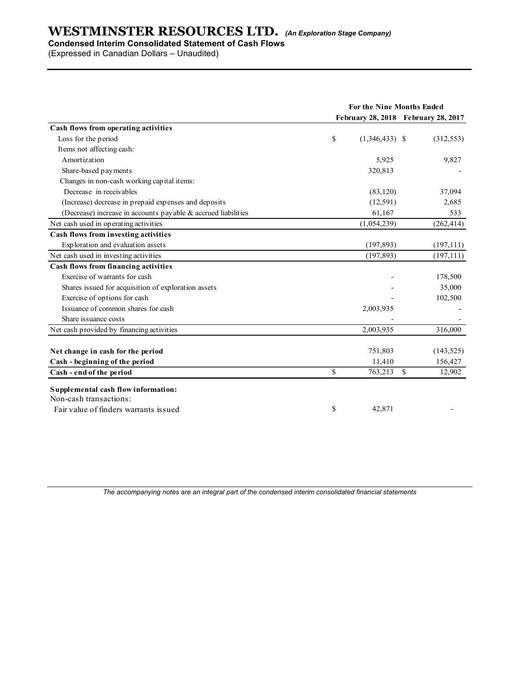## Condensed Interim Consolidated Statement of Cash Flows

|                                                               | For the Nine Months Ended           |            |
|---------------------------------------------------------------|-------------------------------------|------------|
|                                                               | February 28, 2018 February 28, 2017 |            |
| Cash flows from operating activities                          | \$                                  |            |
| Loss for the period                                           | $(1,346,433)$ \$                    | (312, 553) |
| Items not affecting cash:                                     |                                     |            |
| Amortization                                                  | 5,925                               | 9,827      |
| Share-based payments                                          | 320,813                             |            |
| Changes in non-cash working capital items:                    |                                     |            |
| Decrease in receivables                                       | (83, 120)                           | 37,094     |
| (Increase) decrease in prepaid expenses and deposits          | (12, 591)                           | 2,685      |
| (Decrease) increase in accounts payable & accrued liabilities | 61,167                              | 533        |
| Net cash used in operating activities                         | (1,054,239)                         | (262, 414) |
| Cash flows from investing activities                          |                                     |            |
| Exploration and evaluation assets                             | (197, 893)                          | (197,111)  |
| Net cash used in investing activities                         | (197, 893)                          | (197, 111) |
| Cash flows from financing activities                          |                                     |            |
| Exercise of warrants for cash                                 |                                     | 178,500    |
| Shares issued for acquisition of exploration assets           |                                     | 35,000     |
| Exercise of options for cash                                  |                                     | 102,500    |
| Issuance of common shares for cash                            | 2,003,935                           |            |
| Share issuance costs                                          | $\overline{\phantom{a}}$            |            |
| Net cash provided by financing activities                     | 2,003,935                           | 316,000    |
| Net change in cash for the period                             | 751,803                             | (143, 525) |
| Cash - beginning of the period                                | 11,410                              | 156,427    |
| Cash - end of the period                                      | \$<br>763,213 \$                    | 12,902     |
| Supplemental cash flow information:                           |                                     |            |
| Non-cash transactions:                                        |                                     |            |
| Fair value of finders warrants issued                         | \$<br>42,871                        |            |
|                                                               |                                     |            |

The accompanying notes are an integral part of the condensed interim consolidated financial statements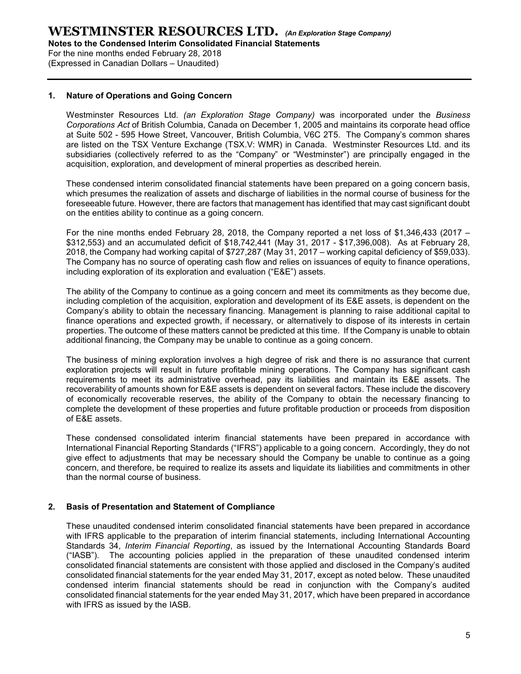Notes to the Condensed Interim Consolidated Financial Statements

For the nine months ended February 28, 2018 (Expressed in Canadian Dollars – Unaudited)

#### 1. Nature of Operations and Going Concern

Westminster Resources Ltd. (an Exploration Stage Company) was incorporated under the Business Corporations Act of British Columbia, Canada on December 1, 2005 and maintains its corporate head office at Suite 502 - 595 Howe Street, Vancouver, British Columbia, V6C 2T5. The Company's common shares are listed on the TSX Venture Exchange (TSX.V: WMR) in Canada. Westminster Resources Ltd. and its subsidiaries (collectively referred to as the "Company" or "Westminster") are principally engaged in the acquisition, exploration, and development of mineral properties as described herein.

These condensed interim consolidated financial statements have been prepared on a going concern basis, which presumes the realization of assets and discharge of liabilities in the normal course of business for the foreseeable future. However, there are factors that management has identified that may cast significant doubt on the entities ability to continue as a going concern.

For the nine months ended February 28, 2018, the Company reported a net loss of \$1,346,433 (2017 – \$312,553) and an accumulated deficit of \$18,742,441 (May 31, 2017 - \$17,396,008). As at February 28, 2018, the Company had working capital of \$727,287 (May 31, 2017 – working capital deficiency of \$59,033). The Company has no source of operating cash flow and relies on issuances of equity to finance operations, including exploration of its exploration and evaluation ("E&E") assets.

The ability of the Company to continue as a going concern and meet its commitments as they become due, including completion of the acquisition, exploration and development of its E&E assets, is dependent on the Company's ability to obtain the necessary financing. Management is planning to raise additional capital to finance operations and expected growth, if necessary, or alternatively to dispose of its interests in certain properties. The outcome of these matters cannot be predicted at this time. If the Company is unable to obtain additional financing, the Company may be unable to continue as a going concern.

The business of mining exploration involves a high degree of risk and there is no assurance that current exploration projects will result in future profitable mining operations. The Company has significant cash requirements to meet its administrative overhead, pay its liabilities and maintain its E&E assets. The recoverability of amounts shown for E&E assets is dependent on several factors. These include the discovery of economically recoverable reserves, the ability of the Company to obtain the necessary financing to complete the development of these properties and future profitable production or proceeds from disposition of E&E assets.

These condensed consolidated interim financial statements have been prepared in accordance with International Financial Reporting Standards ("IFRS") applicable to a going concern. Accordingly, they do not give effect to adjustments that may be necessary should the Company be unable to continue as a going concern, and therefore, be required to realize its assets and liquidate its liabilities and commitments in other than the normal course of business.

#### 2. Basis of Presentation and Statement of Compliance

These unaudited condensed interim consolidated financial statements have been prepared in accordance with IFRS applicable to the preparation of interim financial statements, including International Accounting Standards 34, Interim Financial Reporting, as issued by the International Accounting Standards Board ("IASB"). The accounting policies applied in the preparation of these unaudited condensed interim consolidated financial statements are consistent with those applied and disclosed in the Company's audited consolidated financial statements for the year ended May 31, 2017, except as noted below. These unaudited condensed interim financial statements should be read in conjunction with the Company's audited consolidated financial statements for the year ended May 31, 2017, which have been prepared in accordance with IFRS as issued by the IASB.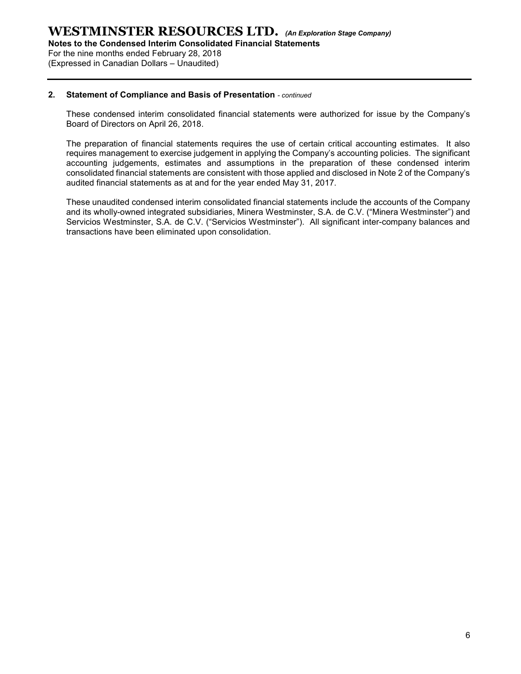Notes to the Condensed Interim Consolidated Financial Statements

For the nine months ended February 28, 2018 (Expressed in Canadian Dollars – Unaudited)

#### 2. Statement of Compliance and Basis of Presentation - continued

These condensed interim consolidated financial statements were authorized for issue by the Company's Board of Directors on April 26, 2018.

The preparation of financial statements requires the use of certain critical accounting estimates. It also requires management to exercise judgement in applying the Company's accounting policies. The significant accounting judgements, estimates and assumptions in the preparation of these condensed interim consolidated financial statements are consistent with those applied and disclosed in Note 2 of the Company's audited financial statements as at and for the year ended May 31, 2017.

These unaudited condensed interim consolidated financial statements include the accounts of the Company and its wholly-owned integrated subsidiaries, Minera Westminster, S.A. de C.V. ("Minera Westminster") and Servicios Westminster, S.A. de C.V. ("Servicios Westminster"). All significant inter-company balances and transactions have been eliminated upon consolidation.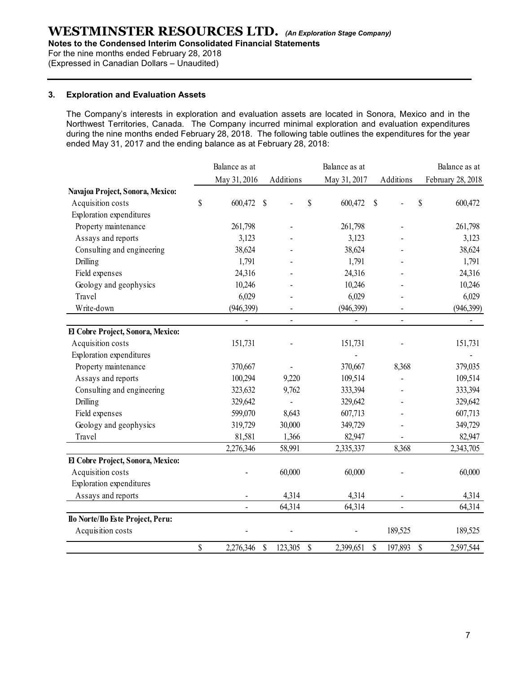Notes to the Condensed Interim Consolidated Financial Statements

For the nine months ended February 28, 2018

(Expressed in Canadian Dollars – Unaudited)

#### 3. Exploration and Evaluation Assets

| <b>Exploration and Evaluation Assets</b>                                                                                                                                                                                                                                                                                                                                                         |    |                |           |                          |           |                |                   |
|--------------------------------------------------------------------------------------------------------------------------------------------------------------------------------------------------------------------------------------------------------------------------------------------------------------------------------------------------------------------------------------------------|----|----------------|-----------|--------------------------|-----------|----------------|-------------------|
|                                                                                                                                                                                                                                                                                                                                                                                                  |    |                |           |                          |           |                |                   |
| The Company's interests in exploration and evaluation assets are located in Sonora, Mexico and in the<br>Northwest Territories, Canada. The Company incurred minimal exploration and evaluation expenditures<br>during the nine months ended February 28, 2018. The following table outlines the expenditures for the year<br>ended May 31, 2017 and the ending balance as at February 28, 2018: |    |                |           |                          |           |                |                   |
|                                                                                                                                                                                                                                                                                                                                                                                                  |    | Balance as at  |           | Balance as at            |           |                | Balance as at     |
|                                                                                                                                                                                                                                                                                                                                                                                                  |    | May 31, 2016   | Additions | May 31, 2017             | Additions |                | February 28, 2018 |
| Navajoa Project, Sonora, Mexico:                                                                                                                                                                                                                                                                                                                                                                 |    |                |           |                          |           |                |                   |
| Acquisition costs                                                                                                                                                                                                                                                                                                                                                                                | S  | 600,472 \$     |           | \$<br>600,472 \$         |           |                | 600,472<br>S      |
| Exploration expenditures                                                                                                                                                                                                                                                                                                                                                                         |    |                |           |                          |           |                |                   |
| Property maintenance                                                                                                                                                                                                                                                                                                                                                                             |    | 261,798        |           | 261,798                  |           |                | 261,798           |
| Assays and reports                                                                                                                                                                                                                                                                                                                                                                               |    | 3,123          |           | 3,123                    |           |                | 3,123             |
| Consulting and engineering                                                                                                                                                                                                                                                                                                                                                                       |    | 38,624         |           | 38,624                   |           |                | 38,624            |
| <b>Drilling</b>                                                                                                                                                                                                                                                                                                                                                                                  |    | 1,791          |           | 1,791                    |           |                | 1,791             |
| Field expenses                                                                                                                                                                                                                                                                                                                                                                                   |    | 24,316         |           | 24,316                   |           |                | 24,316            |
| Geology and geophysics                                                                                                                                                                                                                                                                                                                                                                           |    | 10,246         |           | 10,246                   |           |                | 10,246            |
| Travel                                                                                                                                                                                                                                                                                                                                                                                           |    | 6,029          |           | 6,029                    |           |                | 6,029             |
| Write-down                                                                                                                                                                                                                                                                                                                                                                                       |    | (946,399)      |           | (946,399)                |           |                | (946,399)         |
| El Cobre Project, Sonora, Mexico:                                                                                                                                                                                                                                                                                                                                                                |    | $\blacksquare$ |           | $\overline{\phantom{a}}$ |           |                |                   |
| Acquisition costs                                                                                                                                                                                                                                                                                                                                                                                |    | 151,731        |           | 151,731                  |           |                | 151,731           |
| Exploration expenditures                                                                                                                                                                                                                                                                                                                                                                         |    |                |           |                          |           |                |                   |
| Property maintenance                                                                                                                                                                                                                                                                                                                                                                             |    | 370,667        |           | 370,667                  |           | 8,368          | 379,035           |
| Assays and reports                                                                                                                                                                                                                                                                                                                                                                               |    | 100,294        | 9,220     | 109,514                  |           |                | 109,514           |
| Consulting and engineering                                                                                                                                                                                                                                                                                                                                                                       |    | 323,632        | 9,762     | 333,394                  |           |                | 333,394           |
| <b>Drilling</b>                                                                                                                                                                                                                                                                                                                                                                                  |    | 329,642        |           | 329,642                  |           |                | 329,642           |
| Field expenses                                                                                                                                                                                                                                                                                                                                                                                   |    | 599,070        | 8,643     | 607,713                  |           |                | 607,713           |
| Geology and geophysics                                                                                                                                                                                                                                                                                                                                                                           |    | 319,729        | 30,000    | 349,729                  |           |                | 349,729           |
| Travel                                                                                                                                                                                                                                                                                                                                                                                           |    | 81,581         | 1,366     | 82,947                   |           |                | 82,947            |
|                                                                                                                                                                                                                                                                                                                                                                                                  |    | 2,276,346      | 58,991    | 2,335,337                |           | 8,368          | 2,343,705         |
| El Cobre Project, Sonora, Mexico:                                                                                                                                                                                                                                                                                                                                                                |    |                |           |                          |           |                |                   |
| Acquisition costs                                                                                                                                                                                                                                                                                                                                                                                |    |                | 60,000    | 60,000                   |           |                | 60,000            |
| Exploration expenditures                                                                                                                                                                                                                                                                                                                                                                         |    |                |           |                          |           |                |                   |
| Assays and reports                                                                                                                                                                                                                                                                                                                                                                               |    |                | 4,314     | 4,314                    |           |                | 4,314             |
|                                                                                                                                                                                                                                                                                                                                                                                                  |    | $\blacksquare$ | 64,314    | 64,314                   |           | $\blacksquare$ | 64,314            |
| Ilo Norte/Ilo Este Project, Peru:                                                                                                                                                                                                                                                                                                                                                                |    |                |           |                          |           |                |                   |
| Acquisition costs                                                                                                                                                                                                                                                                                                                                                                                |    |                |           | $\overline{\phantom{a}}$ | 189,525   |                | 189,525           |
|                                                                                                                                                                                                                                                                                                                                                                                                  | \$ |                |           |                          |           |                |                   |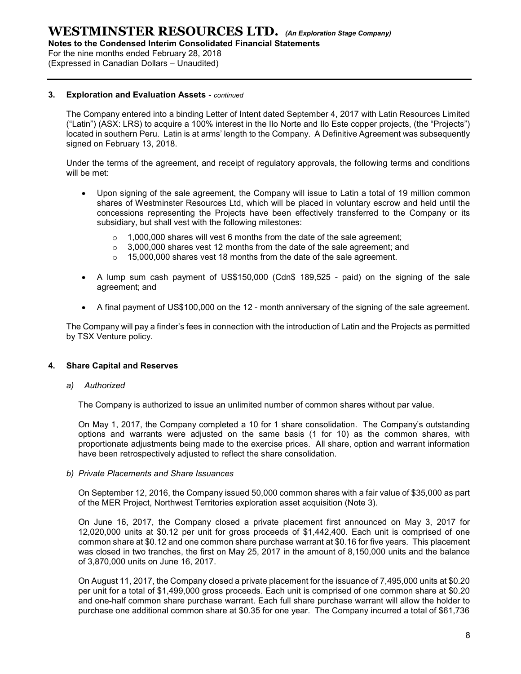Notes to the Condensed Interim Consolidated Financial Statements

For the nine months ended February 28, 2018

(Expressed in Canadian Dollars – Unaudited)

#### 3. Exploration and Evaluation Assets - continued

The Company entered into a binding Letter of Intent dated September 4, 2017 with Latin Resources Limited ("Latin") (ASX: LRS) to acquire a 100% interest in the Ilo Norte and Ilo Este copper projects, (the "Projects") located in southern Peru. Latin is at arms' length to the Company. A Definitive Agreement was subsequently signed on February 13, 2018.

Under the terms of the agreement, and receipt of regulatory approvals, the following terms and conditions will be met:

- Upon signing of the sale agreement, the Company will issue to Latin a total of 19 million common shares of Westminster Resources Ltd, which will be placed in voluntary escrow and held until the concessions representing the Projects have been effectively transferred to the Company or its subsidiary, but shall vest with the following milestones:
	- o 1,000,000 shares will vest 6 months from the date of the sale agreement;
	- $\circ$  3,000,000 shares vest 12 months from the date of the sale agreement: and
	- o 15,000,000 shares vest 18 months from the date of the sale agreement.
- A lump sum cash payment of US\$150,000 (Cdn\$ 189,525 paid) on the signing of the sale agreement; and
- A final payment of US\$100,000 on the 12 month anniversary of the signing of the sale agreement.

The Company will pay a finder's fees in connection with the introduction of Latin and the Projects as permitted by TSX Venture policy.

#### 4. Share Capital and Reserves

#### a) Authorized

The Company is authorized to issue an unlimited number of common shares without par value.

On May 1, 2017, the Company completed a 10 for 1 share consolidation. The Company's outstanding options and warrants were adjusted on the same basis (1 for 10) as the common shares, with proportionate adjustments being made to the exercise prices. All share, option and warrant information have been retrospectively adjusted to reflect the share consolidation.

b) Private Placements and Share Issuances

On September 12, 2016, the Company issued 50,000 common shares with a fair value of \$35,000 as part of the MER Project, Northwest Territories exploration asset acquisition (Note 3).

On June 16, 2017, the Company closed a private placement first announced on May 3, 2017 for 12,020,000 units at \$0.12 per unit for gross proceeds of \$1,442,400. Each unit is comprised of one common share at \$0.12 and one common share purchase warrant at \$0.16 for five years. This placement was closed in two tranches, the first on May 25, 2017 in the amount of 8,150,000 units and the balance of 3,870,000 units on June 16, 2017.

On August 11, 2017, the Company closed a private placement for the issuance of 7,495,000 units at \$0.20 per unit for a total of \$1,499,000 gross proceeds. Each unit is comprised of one common share at \$0.20 and one-half common share purchase warrant. Each full share purchase warrant will allow the holder to purchase one additional common share at \$0.35 for one year. The Company incurred a total of \$61,736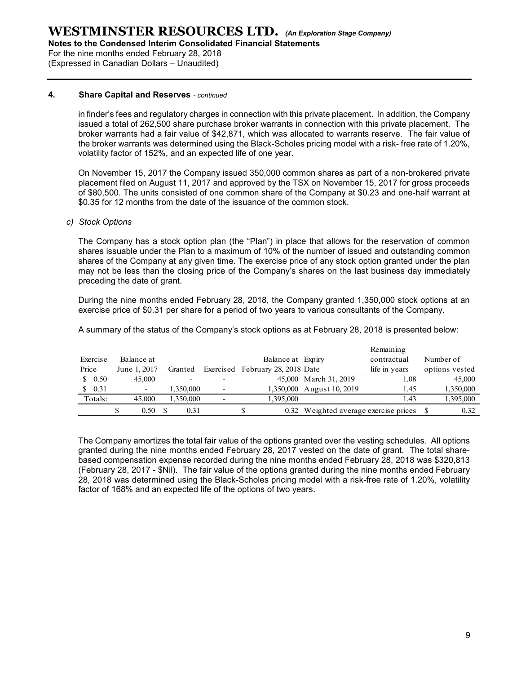Notes to the Condensed Interim Consolidated Financial Statements

For the nine months ended February 28, 2018 (Expressed in Canadian Dollars – Unaudited)

#### 4. Share Capital and Reserves - continued

in finder's fees and regulatory charges in connection with this private placement. In addition, the Company issued a total of 262,500 share purchase broker warrants in connection with this private placement. The broker warrants had a fair value of \$42,871, which was allocated to warrants reserve. The fair value of the broker warrants was determined using the Black-Scholes pricing model with a risk- free rate of 1.20%, volatility factor of 152%, and an expected life of one year.

#### c) Stock Options

|                                                                                                           |                   |           |    | volatility factor of 152%, and an expected life of one year. | the broker warrants was determined using the Black-Scholes pricing model with a risk- free rate of 1.20%,                                                                                                                                                                                                                                                                                                                 |               |                |  |
|-----------------------------------------------------------------------------------------------------------|-------------------|-----------|----|--------------------------------------------------------------|---------------------------------------------------------------------------------------------------------------------------------------------------------------------------------------------------------------------------------------------------------------------------------------------------------------------------------------------------------------------------------------------------------------------------|---------------|----------------|--|
|                                                                                                           |                   |           |    |                                                              | On November 15, 2017 the Company issued 350,000 common shares as part of a non-brokered private<br>placement filed on August 11, 2017 and approved by the TSX on November 15, 2017 for gross proceeds<br>of \$80,500. The units consisted of one common share of the Company at \$0.23 and one-half warrant at<br>\$0.35 for 12 months from the date of the issuance of the common stock.                                 |               |                |  |
| <b>Stock Options</b>                                                                                      |                   |           |    |                                                              |                                                                                                                                                                                                                                                                                                                                                                                                                           |               |                |  |
| preceding the date of grant.                                                                              |                   |           |    |                                                              | The Company has a stock option plan (the "Plan") in place that allows for the reservation of common<br>shares issuable under the Plan to a maximum of 10% of the number of issued and outstanding common<br>shares of the Company at any given time. The exercise price of any stock option granted under the plan<br>may not be less than the closing price of the Company's shares on the last business day immediately |               |                |  |
|                                                                                                           |                   |           |    |                                                              | During the nine months ended February 28, 2018, the Company granted 1,350,000 stock options at an<br>exercise price of \$0.31 per share for a period of two years to various consultants of the Company.                                                                                                                                                                                                                  |               |                |  |
|                                                                                                           |                   |           |    |                                                              | A summary of the status of the Company's stock options as at February 28, 2018 is presented below:                                                                                                                                                                                                                                                                                                                        |               |                |  |
|                                                                                                           |                   |           |    |                                                              |                                                                                                                                                                                                                                                                                                                                                                                                                           | Remaining     |                |  |
| Exercise                                                                                                  | Balance at        |           |    | Balance at Expiry                                            |                                                                                                                                                                                                                                                                                                                                                                                                                           | contractual   | Number of      |  |
| Price                                                                                                     | June 1, 2017      | Granted   |    | Exercised February 28, 2018 Date                             |                                                                                                                                                                                                                                                                                                                                                                                                                           | life in years | options vested |  |
| \$0.50                                                                                                    | 45,000            |           |    |                                                              | 45,000 March 31, 2019                                                                                                                                                                                                                                                                                                                                                                                                     | 1.08          | 45,000         |  |
| \$0.31                                                                                                    |                   | 1,350,000 |    |                                                              | 1,350,000 August 10, 2019                                                                                                                                                                                                                                                                                                                                                                                                 | 1.45          | 1,350,000      |  |
| Totals:                                                                                                   | 45,000            | 1,350,000 |    | 1,395,000                                                    |                                                                                                                                                                                                                                                                                                                                                                                                                           | 1.43          | 1,395,000      |  |
|                                                                                                           | \$<br>$0.50\quad$ | 0.31      | \$ |                                                              | 0.32 Weighted average exercise prices \$                                                                                                                                                                                                                                                                                                                                                                                  |               | 0.32           |  |
| The Company amortizes the total fair value of the options granted over the vesting schedules. All options |                   |           |    |                                                              |                                                                                                                                                                                                                                                                                                                                                                                                                           |               |                |  |

The Company amortizes the total fair value of the options granted over the vesting schedules. All options granted during the nine months ended February 28, 2017 vested on the date of grant. The total sharebased compensation expense recorded during the nine months ended February 28, 2018 was \$320,813 (February 28, 2017 - \$Nil). The fair value of the options granted during the nine months ended February 28, 2018 was determined using the Black-Scholes pricing model with a risk-free rate of 1.20%, volatility factor of 168% and an expected life of the options of two years.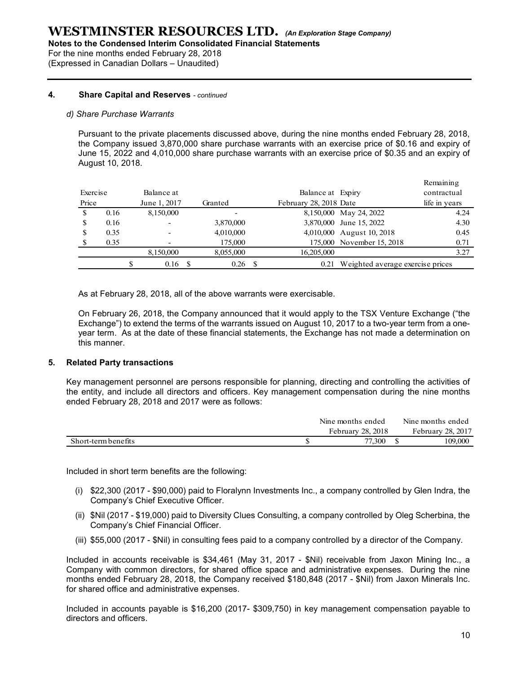Notes to the Condensed Interim Consolidated Financial Statements

For the nine months ended February 28, 2018 (Expressed in Canadian Dollars – Unaudited)

#### 4. Share Capital and Reserves - continued

#### d) Share Purchase Warrants

|       |                     | essed in Canadian Dollars - Unaudited)        |                                                                                                                                                                                                                                                                                                                                                                                                                                                                                                                                                                                                                                                                        |                        |                                       |                   |
|-------|---------------------|-----------------------------------------------|------------------------------------------------------------------------------------------------------------------------------------------------------------------------------------------------------------------------------------------------------------------------------------------------------------------------------------------------------------------------------------------------------------------------------------------------------------------------------------------------------------------------------------------------------------------------------------------------------------------------------------------------------------------------|------------------------|---------------------------------------|-------------------|
|       |                     | <b>Share Capital and Reserves - continued</b> |                                                                                                                                                                                                                                                                                                                                                                                                                                                                                                                                                                                                                                                                        |                        |                                       |                   |
|       |                     | Share Purchase Warrants                       |                                                                                                                                                                                                                                                                                                                                                                                                                                                                                                                                                                                                                                                                        |                        |                                       |                   |
|       | August 10, 2018.    |                                               | Pursuant to the private placements discussed above, during the nine months ended February 28, 2018,<br>the Company issued 3,870,000 share purchase warrants with an exercise price of \$0.16 and expiry of<br>June 15, 2022 and 4,010,000 share purchase warrants with an exercise price of \$0.35 and an expiry of                                                                                                                                                                                                                                                                                                                                                    |                        |                                       | Remaining         |
|       | Exercise            | Balance at                                    |                                                                                                                                                                                                                                                                                                                                                                                                                                                                                                                                                                                                                                                                        | Balance at Expiry      |                                       | contractual       |
| Price |                     | June 1, 2017                                  | Granted                                                                                                                                                                                                                                                                                                                                                                                                                                                                                                                                                                                                                                                                | February 28, 2018 Date |                                       | life in years     |
| \$    | 0.16                | 8,150,000                                     |                                                                                                                                                                                                                                                                                                                                                                                                                                                                                                                                                                                                                                                                        |                        | 8,150,000 May 24, 2022                | 4.24              |
| \$    | 0.16                |                                               | 3,870,000                                                                                                                                                                                                                                                                                                                                                                                                                                                                                                                                                                                                                                                              |                        | 3,870,000 June 15, 2022               | 4.30              |
| \$    | 0.35                |                                               | 4,010,000                                                                                                                                                                                                                                                                                                                                                                                                                                                                                                                                                                                                                                                              |                        | 4,010,000 August 10, 2018             | 0.45              |
|       | 0.35                |                                               | 175,000                                                                                                                                                                                                                                                                                                                                                                                                                                                                                                                                                                                                                                                                |                        | 175,000 November 15, 2018             | 0.71              |
|       |                     | 8,150,000                                     | 8,055,000                                                                                                                                                                                                                                                                                                                                                                                                                                                                                                                                                                                                                                                              | 16,205,000             |                                       | 3.27              |
|       |                     | \$<br>$0.16$ \$                               | $0.26$ \$                                                                                                                                                                                                                                                                                                                                                                                                                                                                                                                                                                                                                                                              |                        | 0.21 Weighted average exercise prices |                   |
|       | this manner.        | elated Party transactions                     | As at February 28, 2018, all of the above warrants were exercisable.<br>On February 26, 2018, the Company announced that it would apply to the TSX Venture Exchange ("the<br>Exchange") to extend the terms of the warrants issued on August 10, 2017 to a two-year term from a one-<br>year term. As at the date of these financial statements, the Exchange has not made a determination on<br>ey management personnel are persons responsible for planning, directing and controlling the activities of<br>e entity, and include all directors and officers. Key management compensation during the nine months<br>nded February 28, 2018 and 2017 were as follows: |                        |                                       |                   |
|       |                     |                                               |                                                                                                                                                                                                                                                                                                                                                                                                                                                                                                                                                                                                                                                                        |                        | Nine months ended                     | Nine months ended |
|       | Short-term benefits |                                               |                                                                                                                                                                                                                                                                                                                                                                                                                                                                                                                                                                                                                                                                        |                        | February 28, 2018                     | February 28, 2017 |

#### 5. Related Party transactions

|                     | Nine months ended        | Nine months ended |
|---------------------|--------------------------|-------------------|
|                     | <b>February 28, 2018</b> | February 28, 2017 |
| Short-term benefits | 77,300                   | 109.000           |

- (i) \$22,300 (2017 \$90,000) paid to Floralynn Investments Inc., a company controlled by Glen Indra, the Company's Chief Executive Officer.
- (ii) \$Nil (2017 \$19,000) paid to Diversity Clues Consulting, a company controlled by Oleg Scherbina, the Company's Chief Financial Officer.
- (iii) \$55,000 (2017 \$Nil) in consulting fees paid to a company controlled by a director of the Company.

Included in accounts receivable is \$34,461 (May 31, 2017 - \$Nil) receivable from Jaxon Mining Inc., a Company with common directors, for shared office space and administrative expenses. During the nine months ended February 28, 2018, the Company received \$180,848 (2017 - \$Nil) from Jaxon Minerals Inc. for shared office and administrative expenses.

Included in accounts payable is \$16,200 (2017- \$309,750) in key management compensation payable to directors and officers.